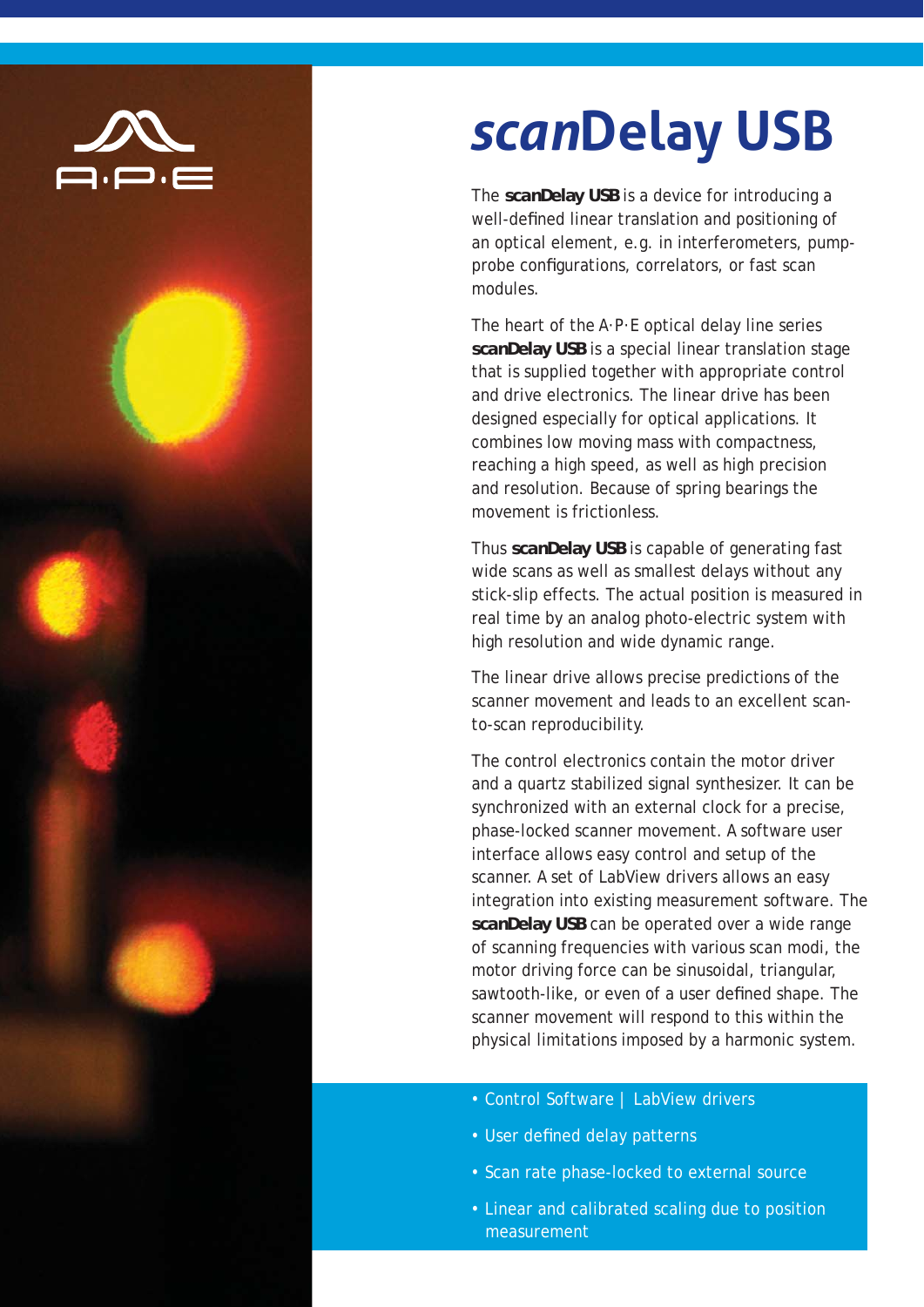

## *scan***Delay USB**

The *scan***Delay USB** is a device for introducing a well-defined linear translation and positioning of an optical element, e.g. in interferometers, pumpprobe configurations, correlators, or fast scan modules.

The heart of the A·P·E optical delay line series *scan***Delay USB** is a special linear translation stage that is supplied together with appropriate control and drive electronics. The linear drive has been designed especially for optical applications. It combines low moving mass with compactness, reaching a high speed, as well as high precision and resolution. Because of spring bearings the movement is frictionless.

Thus *scan***Delay USB** is capable of generating fast wide scans as well as smallest delays without any stick-slip effects. The actual position is measured in real time by an analog photo-electric system with high resolution and wide dynamic range.

The linear drive allows precise predictions of the scanner movement and leads to an excellent scanto-scan reproducibility.

The control electronics contain the motor driver and a quartz stabilized signal synthesizer. It can be synchronized with an external clock for a precise, phase-locked scanner movement. A software user interface allows easy control and setup of the scanner. A set of LabView drivers allows an easy integration into existing measurement software. The *scan***Delay USB** can be operated over a wide range of scanning frequencies with various scan modi, the motor driving force can be sinusoidal, triangular, sawtooth-like, or even of a user defined shape. The scanner movement will respond to this within the physical limitations imposed by a harmonic system.

- Control Software | LabView drivers
- User defined delay patterns
- Scan rate phase-locked to external source
- Linear and calibrated scaling due to position measurement